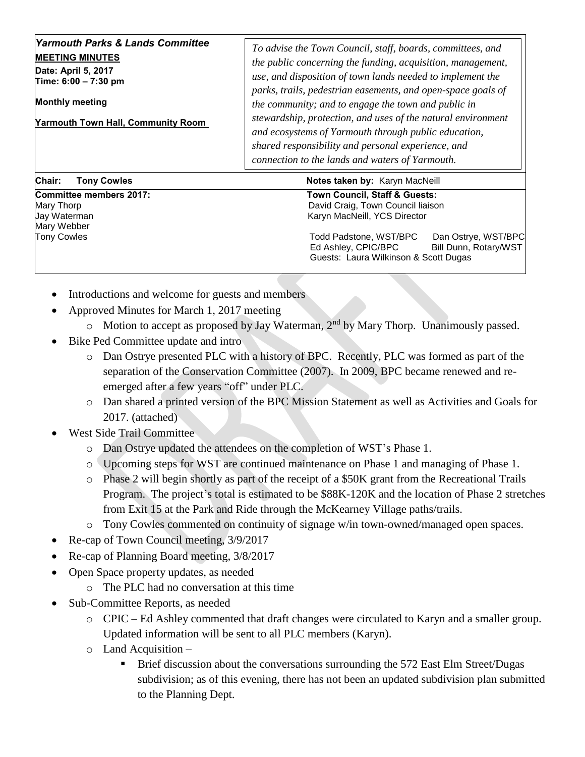| Yarmouth Parks & Lands Committee<br><b>MEETING MINUTES</b><br>Date: April 5, 2017<br>Time: 6:00 - 7:30 pm<br><b>Monthly meeting</b><br><b>Yarmouth Town Hall, Community Room</b> | To advise the Town Council, staff, boards, committees, and<br>the public concerning the funding, acquisition, management,<br>use, and disposition of town lands needed to implement the<br>parks, trails, pedestrian easements, and open-space goals of<br>the community; and to engage the town and public in<br>stewardship, protection, and uses of the natural environment<br>and ecosystems of Yarmouth through public education,<br>shared responsibility and personal experience, and<br>connection to the lands and waters of Yarmouth. |
|----------------------------------------------------------------------------------------------------------------------------------------------------------------------------------|-------------------------------------------------------------------------------------------------------------------------------------------------------------------------------------------------------------------------------------------------------------------------------------------------------------------------------------------------------------------------------------------------------------------------------------------------------------------------------------------------------------------------------------------------|
| Chair:<br><b>Tony Cowles</b>                                                                                                                                                     | <b>Notes taken by: Karyn MacNeill</b>                                                                                                                                                                                                                                                                                                                                                                                                                                                                                                           |

**Committee members 2017: Town Council, Staff & Guests:**  Mary Thorp David Craig, Town Council liaison Mary Webber

- Karyn MacNeill, YCS Director Tony Cowles Todd Padstone, WST/BPC Dan Ostrye, WST/BPC Ed Ashley, CPIC/BPC Bill Dunn, Rotary/WST Guests: Laura Wilkinson & Scott Dugas
	- Introductions and welcome for guests and members
	- Approved Minutes for March 1, 2017 meeting
		- o Motion to accept as proposed by Jay Waterman, 2nd by Mary Thorp. Unanimously passed.
	- Bike Ped Committee update and intro
		- o Dan Ostrye presented PLC with a history of BPC. Recently, PLC was formed as part of the separation of the Conservation Committee (2007). In 2009, BPC became renewed and reemerged after a few years "off" under PLC.
		- o Dan shared a printed version of the BPC Mission Statement as well as Activities and Goals for 2017. (attached)
	- West Side Trail Committee
		- o Dan Ostrye updated the attendees on the completion of WST's Phase 1.
		- o Upcoming steps for WST are continued maintenance on Phase 1 and managing of Phase 1.
		- o Phase 2 will begin shortly as part of the receipt of a \$50K grant from the Recreational Trails Program. The project's total is estimated to be \$88K-120K and the location of Phase 2 stretches from Exit 15 at the Park and Ride through the McKearney Village paths/trails.
		- o Tony Cowles commented on continuity of signage w/in town-owned/managed open spaces.
	- Re-cap of Town Council meeting,  $3/9/2017$
	- Re-cap of Planning Board meeting, 3/8/2017
	- Open Space property updates, as needed
		- o The PLC had no conversation at this time
	- Sub-Committee Reports, as needed
		- o CPIC Ed Ashley commented that draft changes were circulated to Karyn and a smaller group. Updated information will be sent to all PLC members (Karyn).
		- o Land Acquisition
			- **EXECUTE:** Brief discussion about the conversations surrounding the 572 East Elm Street/Dugas subdivision; as of this evening, there has not been an updated subdivision plan submitted to the Planning Dept.